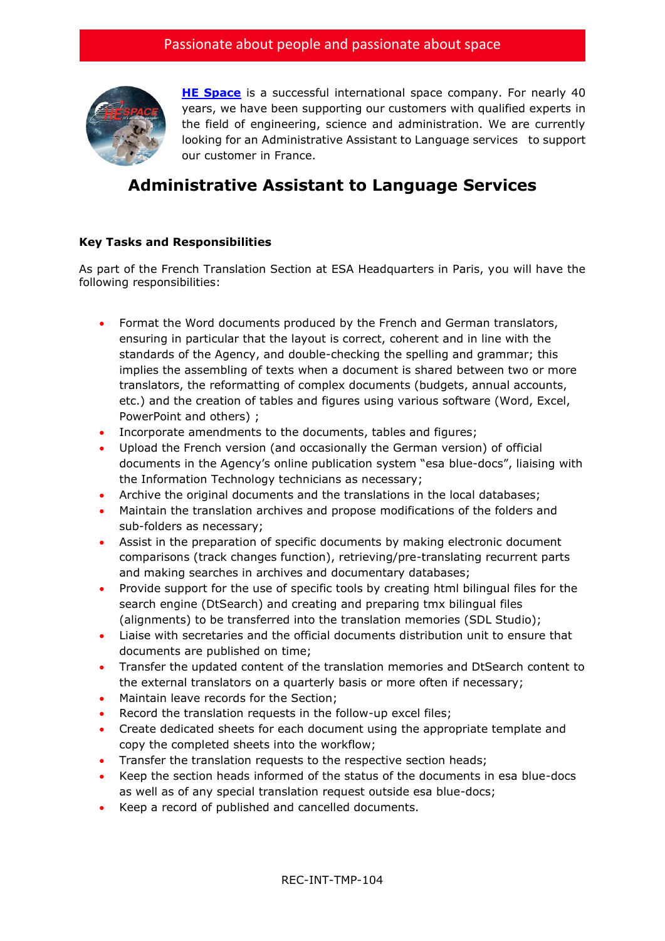

**[HE Space](http://www.hespace.com/)** is a successful international space company. For nearly 40 years, we have been supporting our customers with qualified experts in the field of engineering, science and administration. We are currently looking for an Administrative Assistant to Language servicesto support our customer in France.

## **Administrative Assistant to Language Services**

## **Key Tasks and Responsibilities**

As part of the French Translation Section at ESA Headquarters in Paris, you will have the following responsibilities:

- Format the Word documents produced by the French and German translators, ensuring in particular that the layout is correct, coherent and in line with the standards of the Agency, and double-checking the spelling and grammar; this implies the assembling of texts when a document is shared between two or more translators, the reformatting of complex documents (budgets, annual accounts, etc.) and the creation of tables and figures using various software (Word, Excel, PowerPoint and others) ;
- Incorporate amendments to the documents, tables and figures;
- Upload the French version (and occasionally the German version) of official documents in the Agency's online publication system "esa blue-docs", liaising with the Information Technology technicians as necessary;
- Archive the original documents and the translations in the local databases;
- Maintain the translation archives and propose modifications of the folders and sub-folders as necessary;
- Assist in the preparation of specific documents by making electronic document comparisons (track changes function), retrieving/pre-translating recurrent parts and making searches in archives and documentary databases;
- Provide support for the use of specific tools by creating html bilingual files for the search engine (DtSearch) and creating and preparing tmx bilingual files (alignments) to be transferred into the translation memories (SDL Studio);
- Liaise with secretaries and the official documents distribution unit to ensure that documents are published on time;
- Transfer the updated content of the translation memories and DtSearch content to the external translators on a quarterly basis or more often if necessary;
- Maintain leave records for the Section;
- Record the translation requests in the follow-up excel files;
- Create dedicated sheets for each document using the appropriate template and copy the completed sheets into the workflow;
- Transfer the translation requests to the respective section heads;
- Keep the section heads informed of the status of the documents in esa blue-docs as well as of any special translation request outside esa blue-docs;
- Keep a record of published and cancelled documents.